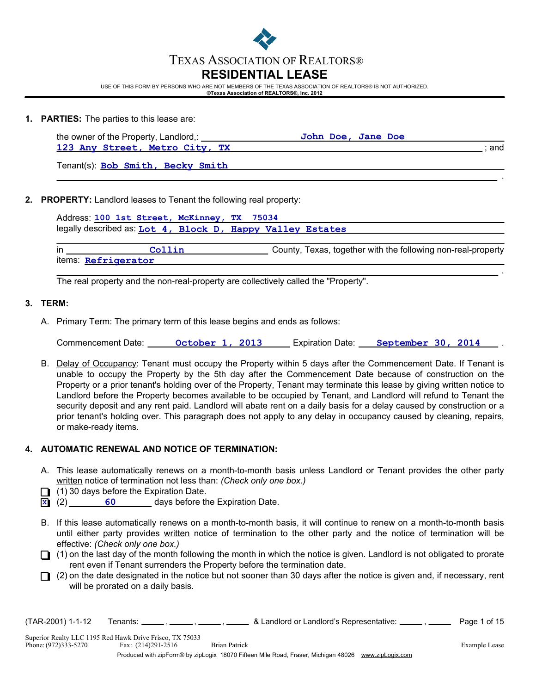

USE OF THIS FORM BY PERSONS WHO ARE NOT MEMBERS OF THE TEXAS ASSOCIATION OF REALTORS® IS NOT AUTHORIZED. **©Texas Association of REALTORS®, Inc. 2012**

- 
- **1. PARTIES:** The parties to this lease are:

| the owner of the Property, Landlord,: | John Doe, Jane Doe |
|---------------------------------------|--------------------|
| 123 Any Street, Metro City, TX        | and                |

.

.

Tenant(s): **Bob Smith, Becky Smith**

## **2. PROPERTY:** Landlord leases to Tenant the following real property:

|    | Address: 100 1st Street, McKinney, TX 75034                |  |                                                              |
|----|------------------------------------------------------------|--|--------------------------------------------------------------|
|    | legally described as: Lot 4, Block D, Happy Valley Estates |  |                                                              |
|    |                                                            |  |                                                              |
| in | Collin                                                     |  | County, Texas, together with the following non-real-property |

items: **Refrigerator**

The real property and the non-real-property are collectively called the "Property".

## **3. TERM:**

A. Primary Term: The primary term of this lease begins and ends as follows:

Commencement Date: **Continuity Continuity Commencement Date:** Commencement Date: Continuity Commencement Date: Co

B. Delay of Occupancy: Tenant must occupy the Property within 5 days after the Commencement Date. If Tenant is unable to occupy the Property by the 5th day after the Commencement Date because of construction on the Property or a prior tenant's holding over of the Property, Tenant may terminate this lease by giving written notice to Landlord before the Property becomes available to be occupied by Tenant, and Landlord will refund to Tenant the security deposit and any rent paid. Landlord will abate rent on a daily basis for a delay caused by construction or a prior tenant's holding over. This paragraph does not apply to any delay in occupancy caused by cleaning, repairs, or make-ready items.

# **4. AUTOMATIC RENEWAL AND NOTICE OF TERMINATION:**

- A. This lease automatically renews on a month-to-month basis unless Landlord or Tenant provides the other party written notice of termination not less than: *(Check only one box.)*
- $\Box$  (1) 30 days before the Expiration Date.
- (2) days before the Expiration Date. **60 X**
- B. If this lease automatically renews on a month-to-month basis, it will continue to renew on a month-to-month basis until either party provides written notice of termination to the other party and the notice of termination will be effective: *(Check only one box.)*
- $\Box$  (1) on the last day of the month following the month in which the notice is given. Landlord is not obligated to prorate rent even if Tenant surrenders the Property before the termination date.
- $\Box$  (2) on the date designated in the notice but not sooner than 30 days after the notice is given and, if necessary, rent will be prorated on a daily basis.

| (TAR-2001) 1-1-12    | Tenants: Tenants: Tenants: Tenants: Tenants: Tenants: Tenants: Tenants: Tenants: Tenants: Tenants: T | & Landlord or Landlord's Representative: _________. ________                                        | Page 1 of 15  |
|----------------------|------------------------------------------------------------------------------------------------------|-----------------------------------------------------------------------------------------------------|---------------|
| Phone: (972)333-5270 | Superior Realty LLC 1195 Red Hawk Drive Frisco, TX 75033<br>Fax: (214)291-2516                       | <b>Brian Patrick</b>                                                                                | Example Lease |
|                      |                                                                                                      | Produced with zipForm® by zipLogix 18070 Fifteen Mile Road, Fraser, Michigan 48026 www.zipLogix.com |               |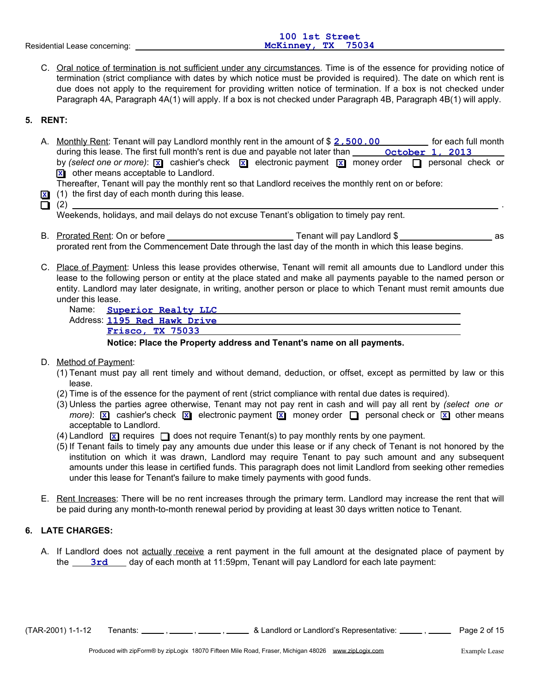| 100 1st Street     |  |
|--------------------|--|
| McKinney, TX 75034 |  |
|                    |  |

C. Oral notice of termination is not sufficient under any circumstances. Time is of the essence for providing notice of termination (strict compliance with dates by which notice must be provided is required). The date on which rent is due does not apply to the requirement for providing written notice of termination. If a box is not checked under Paragraph 4A, Paragraph 4A(1) will apply. If a box is not checked under Paragraph 4B, Paragraph 4B(1) will apply.

# **5. RENT:**

A. Monthly Rent: Tenant will pay Landlord monthly rent in the amount of \$ 2,500.00 \_\_\_\_\_\_\_\_ for each full month during this lease. The first full month's rent is due and payable not later than **weak of the october 1, 2013** by (select one or more):  $\boxed{\mathbf{x}}$  cashier's check  $\boxed{\mathbf{x}}$  electronic payment  $\boxed{\mathbf{x}}$  money order  $\boxed{\phantom{\mathbf{x}}}$  personal check or other means acceptable to Landlord. **X**

Thereafter, Tenant will pay the monthly rent so that Landlord receives the monthly rent on or before:

- (1) the first day of each month during this lease. **X**
- (2) .

Weekends, holidays, and mail delays do not excuse Tenant's obligation to timely pay rent.

- B. Prorated Rent: On or before Tenant will pay Landlord \$ as prorated rent from the Commencement Date through the last day of the month in which this lease begins.
- C. Place of Payment: Unless this lease provides otherwise, Tenant will remit all amounts due to Landlord under this lease to the following person or entity at the place stated and make all payments payable to the named person or entity. Landlord may later designate, in writing, another person or place to which Tenant must remit amounts due under this lease.

|  | Name: Superior Realty LLC      |  |
|--|--------------------------------|--|
|  | Address: 1105 Bad Hards Baissa |  |

Address: **1195 Red Hawk Drive Frisco, TX 75033**

**Notice: Place the Property address and Tenant's name on all payments.**

- D. Method of Payment:
	- (1) Tenant must pay all rent timely and without demand, deduction, or offset, except as permitted by law or this lease.
	- (2) Time is of the essence for the payment of rent (strict compliance with rental due dates is required).
	- (3) Unless the parties agree otherwise, Tenant may not pay rent in cash and will pay all rent by *(select one or*  $m$ ore):  $\boxed{\times}$  cashier's check  $\boxed{\times}$  electronic payment  $\boxed{\times}$  money order  $\boxed{\longrightarrow}$  personal check or  $\boxed{\times}$  other means acceptable to Landlord.
	- (4) Landlord  $\boxed{\mathbf{x}}$  requires  $\boxed{\phantom{\mathbf{x}}\phantom{\mathbf{x}}}$  does not require Tenant(s) to pay monthly rents by one payment.
	- (5) If Tenant fails to timely pay any amounts due under this lease or if any check of Tenant is not honored by the institution on which it was drawn, Landlord may require Tenant to pay such amount and any subsequent amounts under this lease in certified funds. This paragraph does not limit Landlord from seeking other remedies under this lease for Tenant's failure to make timely payments with good funds.
- E. Rent Increases: There will be no rent increases through the primary term. Landlord may increase the rent that will be paid during any month-to-month renewal period by providing at least 30 days written notice to Tenant.

# **6. LATE CHARGES:**

A. If Landlord does not actually receive a rent payment in the full amount at the designated place of payment by the <u>\_\_\_\_3rd</u> \_\_\_\_ day of each month at 11:59pm, Tenant will pay Landlord for each late payment:

 $(TAR-2001)$  1-1-12 Tenants:  $\frac{1}{\sqrt{1-\frac{1}{n}}}$ ,  $\frac{1}{\sqrt{1-\frac{1}{n}}}$  & Landlord or Landlord's Representative:  $\frac{1}{\sqrt{1-\frac{1}{n}}}$ , Page 2 of 15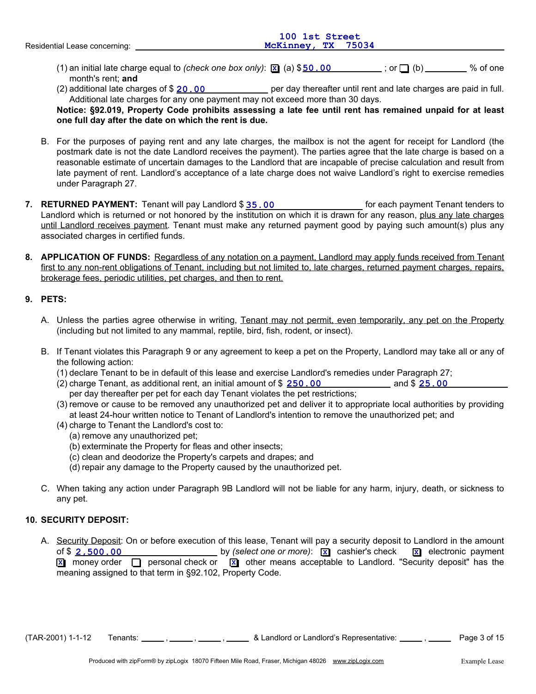|                               | 100 1st Street     |
|-------------------------------|--------------------|
| Residential Lease concerning: | McKinney, TX 75034 |
|                               |                    |

- (1) an initial late charge equal to *(check one box only)*:  $\boxed{\underline{x}}$  (a) \$50.00  $\boxed{ }$  (b)  $\boxed{ }$  (b)  $\boxed{ }$ month's rent; **and**
- (2) additional late charges of \$ 20,00 **can be a per day thereafter until rent and late charges are paid in full.** Additional late charges for any one payment may not exceed more than 30 days.

**Notice: §92.019, Property Code prohibits assessing a late fee until rent has remained unpaid for at least one full day after the date on which the rent is due.**

- B. For the purposes of paying rent and any late charges, the mailbox is not the agent for receipt for Landlord (the postmark date is not the date Landlord receives the payment). The parties agree that the late charge is based on a reasonable estimate of uncertain damages to the Landlord that are incapable of precise calculation and result from late payment of rent. Landlord's acceptance of a late charge does not waive Landlord's right to exercise remedies under Paragraph 27.
- **7. RETURNED PAYMENT:** Landlord which is returned or not honored by the institution on which it is drawn for any reason, <u>plus any late charges</u> until Landlord receives payment. Tenant must make any returned payment good by paying such amount(s) plus any associated charges in certified funds. Tenant will pay Landlord \$ <u>35 . 00 **for the Contact Contact Contact**</u> for each payment Tenant tenders to
- **8. APPLICATION OF FUNDS:** Regardless of any notation on a payment, Landlord may apply funds received from Tenant first to any non-rent obligations of Tenant, including but not limited to, late charges, returned payment charges, repairs, brokerage fees, periodic utilities, pet charges, and then to rent.

# **9. PETS:**

- A. Unless the parties agree otherwise in writing, Tenant may not permit, even temporarily, any pet on the Property (including but not limited to any mammal, reptile, bird, fish, rodent, or insect).
- B. If Tenant violates this Paragraph 9 or any agreement to keep a pet on the Property, Landlord may take all or any of the following action:
	- (1) declare Tenant to be in default of this lease and exercise Landlord's remedies under Paragraph 27;
	- (2) charge Tenant, as additional rent, an initial amount of \$  $\overline{250.00}$  and \$  $\overline{25.00}$ per day thereafter per pet for each day Tenant violates the pet restrictions;
	- (3) remove or cause to be removed any unauthorized pet and deliver it to appropriate local authorities by providing at least 24-hour written notice to Tenant of Landlord's intention to remove the unauthorized pet; and
	- (4) charge to Tenant the Landlord's cost to:
		- (a) remove any unauthorized pet;
		- (b) exterminate the Property for fleas and other insects;
		- (c) clean and deodorize the Property's carpets and drapes; and
		- (d) repair any damage to the Property caused by the unauthorized pet.
- C. When taking any action under Paragraph 9B Landlord will not be liable for any harm, injury, death, or sickness to any pet.

# **10. SECURITY DEPOSIT:**

A. Security Deposit: On or before execution of this lease, Tenant will pay a security deposit to Landlord in the amount by *(select one or more)*: x cashier's check x electronic payment of \$ **2,500.00 X** money order  $\Box$  personal check or  $\Box$  other means acceptable to Landlord. "Security deposit" has the meaning assigned to that term in §92.102, Property Code.

 $(TAR-2001)$  1-1-12 Tenants:  $, \underline{\hspace{1cm}}$ ,  $, \underline{\hspace{1cm}}$ ,  $\underline{\hspace{1cm}}$  & Landlord or Landlord's Representative:  $\underline{\hspace{1cm}}$ ,  $\underline{\hspace{1cm}}$  Page 3 of 15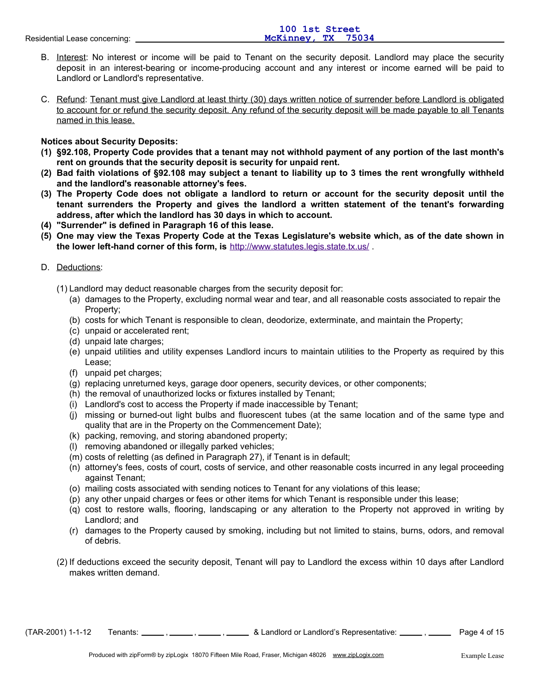- B. Interest: No interest or income will be paid to Tenant on the security deposit. Landlord may place the security deposit in an interest-bearing or income-producing account and any interest or income earned will be paid to Landlord or Landlord's representative.
- C. Refund: Tenant must give Landlord at least thirty (30) days written notice of surrender before Landlord is obligated to account for or refund the security deposit. Any refund of the security deposit will be made payable to all Tenants named in this lease.

## **Notices about Security Deposits:**

- **(1) §92.108, Property Code provides that a tenant may not withhold payment of any portion of the last month's rent on grounds that the security deposit is security for unpaid rent.**
- **(2) Bad faith violations of §92.108 may subject a tenant to liability up to 3 times the rent wrongfully withheld and the landlord's reasonable attorney's fees.**
- **(3) The Property Code does not obligate a landlord to return or account for the security deposit until the tenant surrenders the Property and gives the landlord a written statement of the tenant's forwarding address, after which the landlord has 30 days in which to account.**
- **(4) "Surrender" is defined in Paragraph 16 of this lease.**
- **(5) One may view the Texas Property Code at the Texas Legislature's website which, as of the date shown in the lower left-hand corner of this form, is** http://www.statutes.legis.state.tx.us/ .

## D. Deductions:

- (1) Landlord may deduct reasonable charges from the security deposit for:
	- (a) damages to the Property, excluding normal wear and tear, and all reasonable costs associated to repair the Property;
	- (b) costs for which Tenant is responsible to clean, deodorize, exterminate, and maintain the Property;
	- (c) unpaid or accelerated rent;
	- (d) unpaid late charges;
	- (e) unpaid utilities and utility expenses Landlord incurs to maintain utilities to the Property as required by this Lease;
	- (f) unpaid pet charges;
	- (g) replacing unreturned keys, garage door openers, security devices, or other components;
	- (h) the removal of unauthorized locks or fixtures installed by Tenant;
	- (i) Landlord's cost to access the Property if made inaccessible by Tenant;
	- (j) missing or burned-out light bulbs and fluorescent tubes (at the same location and of the same type and quality that are in the Property on the Commencement Date);
	- (k) packing, removing, and storing abandoned property;
	- (l) removing abandoned or illegally parked vehicles;
	- (m) costs of reletting (as defined in Paragraph 27), if Tenant is in default;
	- (n) attorney's fees, costs of court, costs of service, and other reasonable costs incurred in any legal proceeding against Tenant;
	- (o) mailing costs associated with sending notices to Tenant for any violations of this lease;
	- (p) any other unpaid charges or fees or other items for which Tenant is responsible under this lease;
	- (q) cost to restore walls, flooring, landscaping or any alteration to the Property not approved in writing by Landlord; and
	- (r) damages to the Property caused by smoking, including but not limited to stains, burns, odors, and removal of debris.
- (2) If deductions exceed the security deposit, Tenant will pay to Landlord the excess within 10 days after Landlord makes written demand.

 $(TAR-2001)$  1-1-12 Tenants:  $\frac{1}{\sqrt{1-\frac{1}{2}}}$ ,  $\frac{1}{\sqrt{1-\frac{1}{2}}}$  & Landlord or Landlord's Representative:  $\frac{1}{\sqrt{1-\frac{1}{2}}}$ ,  $\frac{1}{\sqrt{1-\frac{1}{2}}}$  Page 4 of 15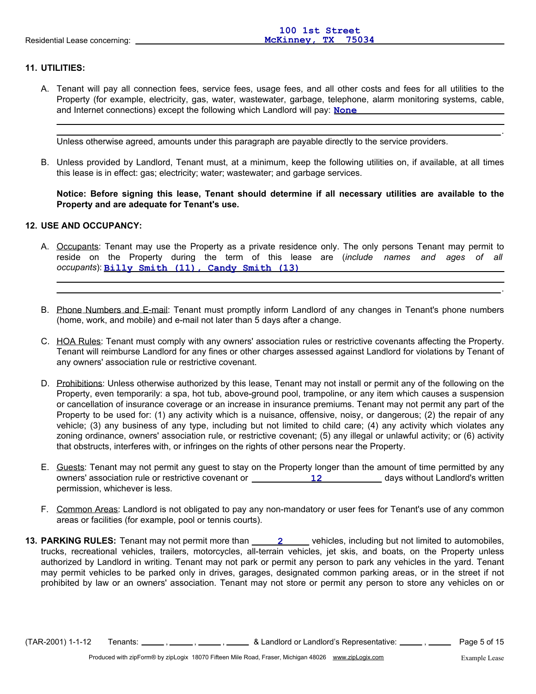# **11. UTILITIES:**

A. Tenant will pay all connection fees, service fees, usage fees, and all other costs and fees for all utilities to the Property (for example, electricity, gas, water, wastewater, garbage, telephone, alarm monitoring systems, cable, and Internet connections) except the following which Landlord will pay: **None** 

Unless otherwise agreed, amounts under this paragraph are payable directly to the service providers.

B. Unless provided by Landlord, Tenant must, at a minimum, keep the following utilities on, if available, at all times this lease is in effect: gas; electricity; water; wastewater; and garbage services.

## **Notice: Before signing this lease, Tenant should determine if all necessary utilities are available to the Property and are adequate for Tenant's use.**

## **12. USE AND OCCUPANCY:**

- A. Occupants: Tenant may use the Property as a private residence only. The only persons Tenant may permit to reside on the Property during the term of this lease are (*include names and ages of all occupants*): **Billy Smith (11), Candy Smith (13)**
- B. Phone Numbers and E-mail: Tenant must promptly inform Landlord of any changes in Tenant's phone numbers (home, work, and mobile) and e-mail not later than 5 days after a change.
- C. HOA Rules: Tenant must comply with any owners' association rules or restrictive covenants affecting the Property. Tenant will reimburse Landlord for any fines or other charges assessed against Landlord for violations by Tenant of any owners' association rule or restrictive covenant.
- D. Prohibitions: Unless otherwise authorized by this lease, Tenant may not install or permit any of the following on the Property, even temporarily: a spa, hot tub, above-ground pool, trampoline, or any item which causes a suspension or cancellation of insurance coverage or an increase in insurance premiums. Tenant may not permit any part of the Property to be used for: (1) any activity which is a nuisance, offensive, noisy, or dangerous; (2) the repair of any vehicle; (3) any business of any type, including but not limited to child care; (4) any activity which violates any zoning ordinance, owners' association rule, or restrictive covenant; (5) any illegal or unlawful activity; or (6) activity that obstructs, interferes with, or infringes on the rights of other persons near the Property.
- E. Guests: Tenant may not permit any guest to stay on the Property longer than the amount of time permitted by any owners' association rule or restrictive covenant or \_\_\_\_\_\_\_\_\_\_\_\_\_\_12 \_\_\_\_\_\_\_\_\_\_\_\_ days without Landlord's written permission, whichever is less.
- F. Common Areas: Landlord is not obligated to pay any non-mandatory or user fees for Tenant's use of any common areas or facilities (for example, pool or tennis courts).
- **13. PARKING RULES:** Tenant may not permit more than  $\frac{2}{2}$  vehicles, including but not limited to automobiles, trucks, recreational vehicles, trailers, motorcycles, all-terrain vehicles, jet skis, and boats, on the Property unless authorized by Landlord in writing. Tenant may not park or permit any person to park any vehicles in the yard. Tenant may permit vehicles to be parked only in drives, garages, designated common parking areas, or in the street if not prohibited by law or an owners' association. Tenant may not store or permit any person to store any vehicles on or

 $(TAR-2001)$  1-1-12 Tenants:  $\frac{1}{\sqrt{15}}$ ,  $\frac{1}{\sqrt{15}}$ ,  $\frac{1}{\sqrt{15}}$  & Landlord or Landlord's Representative:  $\frac{1}{\sqrt{15}}$  Page 5 of 15

.

.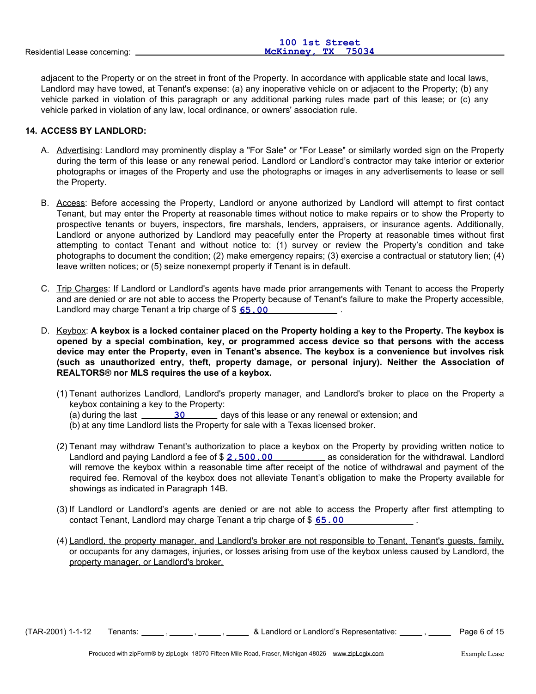|                               | TAA TRE PETGEF     |
|-------------------------------|--------------------|
| Residential Lease concerning: | McKinney, TX 75034 |

adjacent to the Property or on the street in front of the Property. In accordance with applicable state and local laws, Landlord may have towed, at Tenant's expense: (a) any inoperative vehicle on or adjacent to the Property; (b) any vehicle parked in violation of this paragraph or any additional parking rules made part of this lease; or (c) any vehicle parked in violation of any law, local ordinance, or owners' association rule.

**100 1st Street**

## **14. ACCESS BY LANDLORD:**

- A. Advertising: Landlord may prominently display a "For Sale" or "For Lease" or similarly worded sign on the Property during the term of this lease or any renewal period. Landlord or Landlord's contractor may take interior or exterior photographs or images of the Property and use the photographs or images in any advertisements to lease or sell the Property.
- B. Access: Before accessing the Property, Landlord or anyone authorized by Landlord will attempt to first contact Tenant, but may enter the Property at reasonable times without notice to make repairs or to show the Property to prospective tenants or buyers, inspectors, fire marshals, lenders, appraisers, or insurance agents. Additionally, Landlord or anyone authorized by Landlord may peacefully enter the Property at reasonable times without first attempting to contact Tenant and without notice to: (1) survey or review the Property's condition and take photographs to document the condition; (2) make emergency repairs; (3) exercise a contractual or statutory lien; (4) leave written notices; or (5) seize nonexempt property if Tenant is in default.
- C. Trip Charges: If Landlord or Landlord's agents have made prior arrangements with Tenant to access the Property and are denied or are not able to access the Property because of Tenant's failure to make the Property accessible, Landlord may charge Tenant a trip charge of \$  $\underline{65.00}$  \_\_\_\_\_\_\_\_\_\_\_\_\_\_\_\_\_\_\_\_\_.
- D. Keybox: **A keybox is a locked container placed on the Property holding a key to the Property. The keybox is opened by a special combination, key, or programmed access device so that persons with the access device may enter the Property, even in Tenant's absence. The keybox is a convenience but involves risk (such as unauthorized entry, theft, property damage, or personal injury). Neither the Association of REALTORS® nor MLS requires the use of a keybox.**
	- (1) Tenant authorizes Landlord, Landlord's property manager, and Landlord's broker to place on the Property a keybox containing a key to the Property: (a) during the last **1991 120 COV** days of this lease or any renewal or extension; and (b) at any time Landlord lists the Property for sale with a Texas licensed broker.
	- Landlord and paying Landlord a fee of \$ 2, 500 . 00 **200 10 manufact and a supprese** as consideration for the withdrawal. Landlord will remove the keybox within a reasonable time after receipt of the notice of withdrawal and payment of the required fee. Removal of the keybox does not alleviate Tenant's obligation to make the Property available for showings as indicated in Paragraph 14B. (2) Tenant may withdraw Tenant's authorization to place a keybox on the Property by providing written notice to
	- (3) If Landlord or Landlord's agents are denied or are not able to access the Property after first attempting to contact Tenant, Landlord may charge Tenant a trip charge of \$ **65.00 100** 12
	- (4) Landlord, the property manager, and Landlord's broker are not responsible to Tenant, Tenant's guests, family, or occupants for any damages, injuries, or losses arising from use of the keybox unless caused by Landlord, the property manager, or Landlord's broker.

 $(TAR-2001)$  1-1-12 Tenants:  $\frac{1}{\sqrt{1-\frac{1}{2}}}$ ,  $\frac{1}{\sqrt{1-\frac{1}{2}}}$  & Landlord or Landlord's Representative:  $\frac{1}{\sqrt{1-\frac{1}{2}}}$ ,  $\frac{1}{\sqrt{1-\frac{1}{2}}}$  Page 6 of 15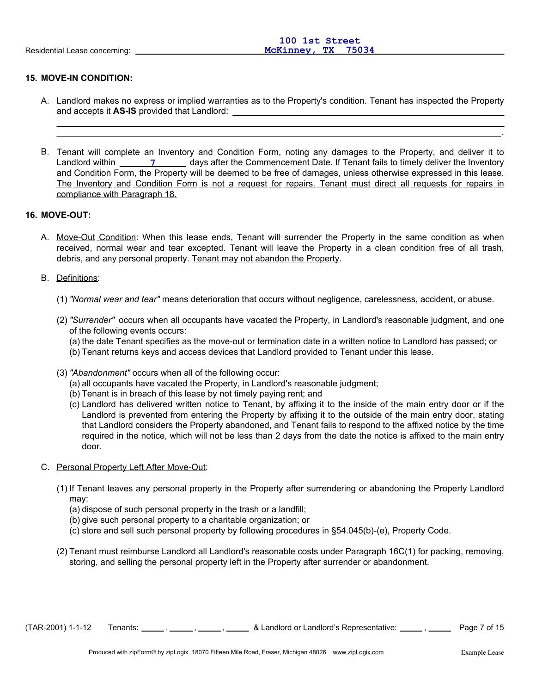## **15. MOVE-IN CONDITION:**

- A. Landlord makes no express or implied warranties as to the Property's condition. Tenant has inspected the Property and accepts it **AS-IS** provided that Landlord:
- B. Tenant will complete an Inventory and Condition Form, noting any damages to the Property, and deliver it to Landlord within \_\_\_\_\_\_\_\_\_\_\_\_\_\_\_\_\_\_\_ days after the Commencement Date. If Tenant fails to timely deliver the Inventory and Condition Form, the Property will be deemed to be free of damages, unless otherwise expressed in this lease. The Inventory and Condition Form is not a request for repairs. Tenant must direct all requests for repairs in compliance with Paragraph 18.

## **16. MOVE-OUT:**

A. Move-Out Condition: When this lease ends, Tenant will surrender the Property in the same condition as when received, normal wear and tear excepted. Tenant will leave the Property in a clean condition free of all trash, debris, and any personal property. Tenant may not abandon the Property.

#### B. Definitions:

- (1) *"Normal wear and tear"* means deterioration that occurs without negligence, carelessness, accident, or abuse.
- (2) *"Surrender"* occurs when all occupants have vacated the Property, in Landlord's reasonable judgment, and one of the following events occurs:

(a) the date Tenant specifies as the move-out or termination date in a written notice to Landlord has passed; or

- (b) Tenant returns keys and access devices that Landlord provided to Tenant under this lease.
- (3) *"Abandonment"* occurs when all of the following occur:
	- (a) all occupants have vacated the Property, in Landlord's reasonable judgment;
	- (b) Tenant is in breach of this lease by not timely paying rent; and
	- (c) Landlord has delivered written notice to Tenant, by affixing it to the inside of the main entry door or if the Landlord is prevented from entering the Property by affixing it to the outside of the main entry door, stating that Landlord considers the Property abandoned, and Tenant fails to respond to the affixed notice by the time required in the notice, which will not be less than 2 days from the date the notice is affixed to the main entry door.

#### C. Personal Property Left After Move-Out:

- (1) If Tenant leaves any personal property in the Property after surrendering or abandoning the Property Landlord may:
	- (a) dispose of such personal property in the trash or a landfill;
	- (b) give such personal property to a charitable organization; or
	- (c) store and sell such personal property by following procedures in §54.045(b)-(e), Property Code.
- (2) Tenant must reimburse Landlord all Landlord's reasonable costs under Paragraph 16C(1) for packing, removing, storing, and selling the personal property left in the Property after surrender or abandonment.

 $(TAR-2001)$  1-1-12 Tenants:  $\frac{1}{\sqrt{1-\frac{1}{n}}}$ ,  $\frac{1}{\sqrt{1-\frac{1}{n}}}$  & Landlord or Landlord's Representative:  $\frac{1}{\sqrt{1-\frac{1}{n}}}$ , Page 7 of 15

.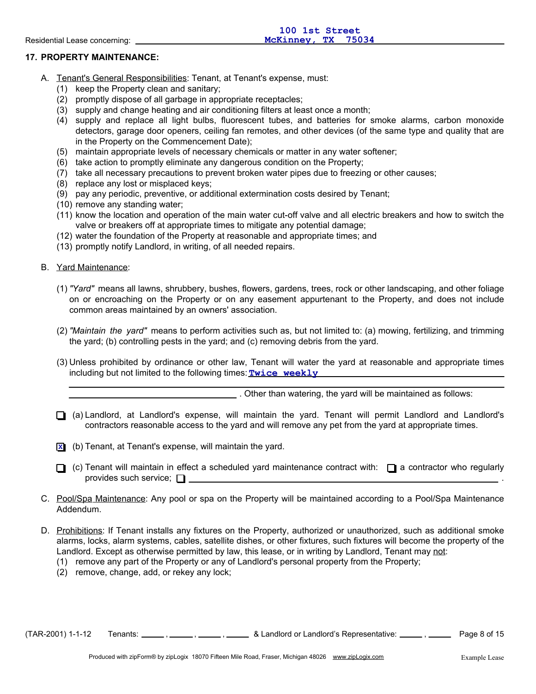# **17. PROPERTY MAINTENANCE:**

- A. Tenant's General Responsibilities: Tenant, at Tenant's expense, must:
	- (1) keep the Property clean and sanitary;
	- (2) promptly dispose of all garbage in appropriate receptacles;
	- (3) supply and change heating and air conditioning filters at least once a month;
	- (4) supply and replace all light bulbs, fluorescent tubes, and batteries for smoke alarms, carbon monoxide detectors, garage door openers, ceiling fan remotes, and other devices (of the same type and quality that are in the Property on the Commencement Date);
	- (5) maintain appropriate levels of necessary chemicals or matter in any water softener;
	- (6) take action to promptly eliminate any dangerous condition on the Property;
	- (7) take all necessary precautions to prevent broken water pipes due to freezing or other causes;
	- (8) replace any lost or misplaced keys;
	- (9) pay any periodic, preventive, or additional extermination costs desired by Tenant;
	- (10) remove any standing water;
	- (11) know the location and operation of the main water cut-off valve and all electric breakers and how to switch the valve or breakers off at appropriate times to mitigate any potential damage;
	- (12) water the foundation of the Property at reasonable and appropriate times; and
	- (13) promptly notify Landlord, in writing, of all needed repairs.

B. Yard Maintenance:

- (1) *"Yard"* means all lawns, shrubbery, bushes, flowers, gardens, trees, rock or other landscaping, and other foliage on or encroaching on the Property or on any easement appurtenant to the Property, and does not include common areas maintained by an owners' association.
- (2) *"Maintain the yard"* means to perform activities such as, but not limited to: (a) mowing, fertilizing, and trimming the yard; (b) controlling pests in the yard; and (c) removing debris from the yard.
- (3) Unless prohibited by ordinance or other law, Tenant will water the yard at reasonable and appropriate times including but not limited to the following times: **Twice weekly**

. Other than watering, the yard will be maintained as follows:

(a) Landlord, at Landlord's expense, will maintain the yard. Tenant will permit Landlord and Landlord's contractors reasonable access to the yard and will remove any pet from the yard at appropriate times.

(b) Tenant, at Tenant's expense, will maintain the yard. **X**

- $\Box$  (c) Tenant will maintain in effect a scheduled yard maintenance contract with:  $\Box$  a contractor who regularly provides such service;  $\Box$
- C. Pool/Spa Maintenance: Any pool or spa on the Property will be maintained according to a Pool/Spa Maintenance Addendum.
- D. Prohibitions: If Tenant installs any fixtures on the Property, authorized or unauthorized, such as additional smoke alarms, locks, alarm systems, cables, satellite dishes, or other fixtures, such fixtures will become the property of the Landlord. Except as otherwise permitted by law, this lease, or in writing by Landlord, Tenant may not:
	- (1) remove any part of the Property or any of Landlord's personal property from the Property;
	- (2) remove, change, add, or rekey any lock;

 $(TAR-2001)$  1-1-12 Tenants:  $\frac{1}{\sqrt{1-\frac{1}{n}}}$ ,  $\frac{1}{\sqrt{1-\frac{1}{n}}}$  & Landlord or Landlord's Representative:  $\frac{1}{\sqrt{1-\frac{1}{n}}}$ , Page 8 of 15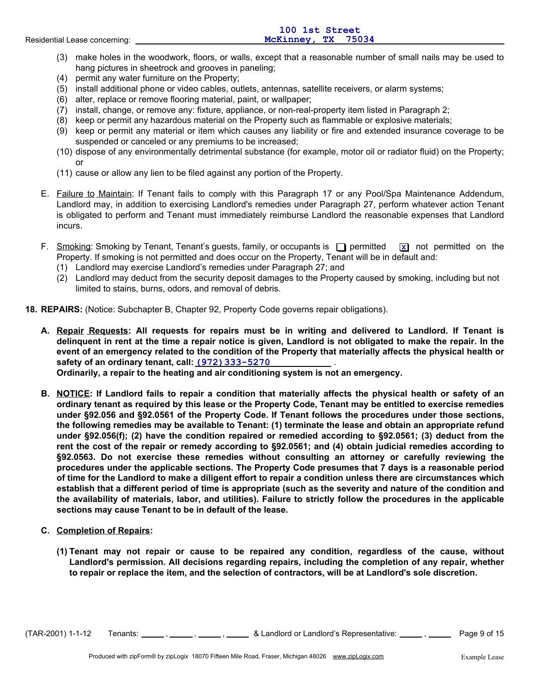|                               | 100 1st Street     |
|-------------------------------|--------------------|
| Residential Lease concerning: | McKinney, TX 75034 |
|                               |                    |

- (3) make holes in the woodwork, floors, or walls, except that a reasonable number of small nails may be used to hang pictures in sheetrock and grooves in paneling;
- (4) permit any water furniture on the Property;
- (5) install additional phone or video cables, outlets, antennas, satellite receivers, or alarm systems;
- (6) alter, replace or remove flooring material, paint, or wallpaper;
- (7) install, change, or remove any: fixture, appliance, or non-real-property item listed in Paragraph 2;
- (8) keep or permit any hazardous material on the Property such as flammable or explosive materials;
- (9) keep or permit any material or item which causes any liability or fire and extended insurance coverage to be suspended or canceled or any premiums to be increased;
- (10) dispose of any environmentally detrimental substance (for example, motor oil or radiator fluid) on the Property; or
- (11) cause or allow any lien to be filed against any portion of the Property.
- E. Failure to Maintain: If Tenant fails to comply with this Paragraph 17 or any Pool/Spa Maintenance Addendum, Landlord may, in addition to exercising Landlord's remedies under Paragraph 27, perform whatever action Tenant is obligated to perform and Tenant must immediately reimburse Landlord the reasonable expenses that Landlord incurs.
- F. Smoking: Smoking by Tenant, Tenant's guests, family, or occupants is  $\Box$  permitted Property. If smoking is not permitted and does occur on the Property, Tenant will be in default and: **x** not permitted on the
	- (1) Landlord may exercise Landlord's remedies under Paragraph 27; and
	- (2) Landlord may deduct from the security deposit damages to the Property caused by smoking, including but not limited to stains, burns, odors, and removal of debris.

**18. REPAIRS:** (Notice: Subchapter B, Chapter 92, Property Code governs repair obligations).

**A. Repair Requests: All requests for repairs must be in writing and delivered to Landlord. If Tenant is delinquent in rent at the time a repair notice is given, Landlord is not obligated to make the repair. In the event of an emergency related to the condition of the Property that materially affects the physical health or safety of an ordinary tenant, call: <u>(972) 333-5270</u> \_\_\_\_\_\_\_\_\_\_\_\_\_\_** 

**Ordinarily, a repair to the heating and air conditioning system is not an emergency.**

- **B. NOTICE: If Landlord fails to repair a condition that materially affects the physical health or safety of an ordinary tenant as required by this lease or the Property Code, Tenant may be entitled to exercise remedies under §92.056 and §92.0561 of the Property Code. If Tenant follows the procedures under those sections, the following remedies may be available to Tenant: (1) terminate the lease and obtain an appropriate refund under §92.056(f); (2) have the condition repaired or remedied according to §92.0561; (3) deduct from the rent the cost of the repair or remedy according to §92.0561; and (4) obtain judicial remedies according to §92.0563. Do not exercise these remedies without consulting an attorney or carefully reviewing the procedures under the applicable sections. The Property Code presumes that 7 days is a reasonable period of time for the Landlord to make a diligent effort to repair a condition unless there are circumstances which establish that a different period of time is appropriate (such as the severity and nature of the condition and the availability of materials, labor, and utilities). Failure to strictly follow the procedures in the applicable sections may cause Tenant to be in default of the lease.**
- **C. Completion of Repairs:**
	- **(1) Tenant may not repair or cause to be repaired any condition, regardless of the cause, without Landlord's permission. All decisions regarding repairs, including the completion of any repair, whether to repair or replace the item, and the selection of contractors, will be at Landlord's sole discretion.**

 $(TAR-2001)$  1-1-12 Tenants:  $\ldots$ ,  $\ldots$ ,  $\ldots$ , & Landlord or Landlord's Representative:  $\ldots$ ,  $\ldots$  Page 9 of 15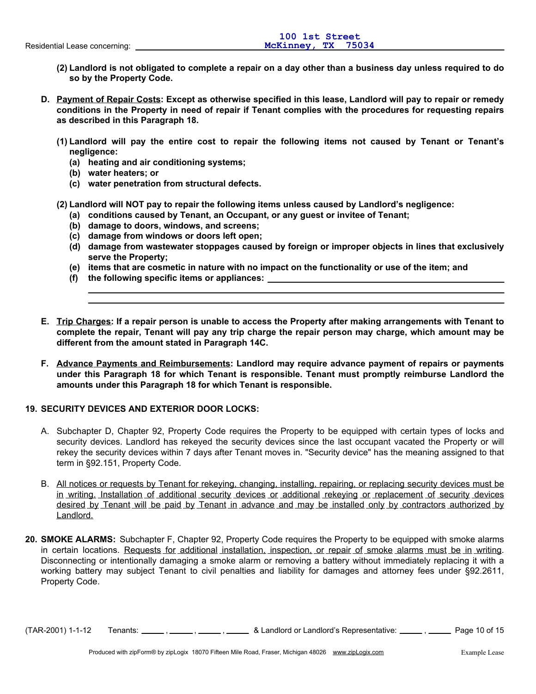- **(2) Landlord is not obligated to complete a repair on a day other than a business day unless required to do so by the Property Code.**
- **D. Payment of Repair Costs: Except as otherwise specified in this lease, Landlord will pay to repair or remedy conditions in the Property in need of repair if Tenant complies with the procedures for requesting repairs as described in this Paragraph 18.**
	- **(1) Landlord will pay the entire cost to repair the following items not caused by Tenant or Tenant's negligence:**
		- **(a) heating and air conditioning systems;**
		- **(b) water heaters; or**
		- **(c) water penetration from structural defects.**
	- **(2) Landlord will NOT pay to repair the following items unless caused by Landlord's negligence:**
		- **(a) conditions caused by Tenant, an Occupant, or any guest or invitee of Tenant;**
		- **(b) damage to doors, windows, and screens;**
		- **(c) damage from windows or doors left open;**
		- **(d) damage from wastewater stoppages caused by foreign or improper objects in lines that exclusively serve the Property;**
		- **(e) items that are cosmetic in nature with no impact on the functionality or use of the item; and**
		- **(f) the following specific items or appliances:**
- **E. Trip Charges: If a repair person is unable to access the Property after making arrangements with Tenant to complete the repair, Tenant will pay any trip charge the repair person may charge, which amount may be different from the amount stated in Paragraph 14C.**
- **F. Advance Payments and Reimbursements: Landlord may require advance payment of repairs or payments under this Paragraph 18 for which Tenant is responsible. Tenant must promptly reimburse Landlord the amounts under this Paragraph 18 for which Tenant is responsible.**

# **19. SECURITY DEVICES AND EXTERIOR DOOR LOCKS:**

- A. Subchapter D, Chapter 92, Property Code requires the Property to be equipped with certain types of locks and security devices. Landlord has rekeyed the security devices since the last occupant vacated the Property or will rekey the security devices within 7 days after Tenant moves in. "Security device" has the meaning assigned to that term in §92.151, Property Code.
- B. All notices or requests by Tenant for rekeying, changing, installing, repairing, or replacing security devices must be in writing. Installation of additional security devices or additional rekeying or replacement of security devices desired by Tenant will be paid by Tenant in advance and may be installed only by contractors authorized by Landlord.
- **20. SMOKE ALARMS:** Subchapter F, Chapter 92, Property Code requires the Property to be equipped with smoke alarms in certain locations. Requests for additional installation, inspection, or repair of smoke alarms must be in writing. Disconnecting or intentionally damaging a smoke alarm or removing a battery without immediately replacing it with a working battery may subject Tenant to civil penalties and liability for damages and attorney fees under §92.2611, Property Code.

(TAR-2001) 1-1-12 Tenants: \_\_\_\_\_\_, \_\_\_\_\_\_, \_\_\_\_\_\_, & Landlord or Landlord's Representative: \_\_\_\_\_, \_\_\_\_\_\_ Page 10 of 15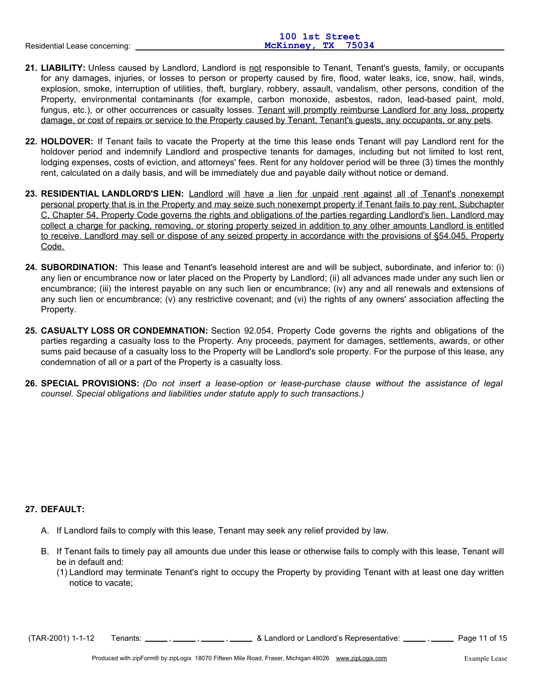|                               | 100 1st Street     |
|-------------------------------|--------------------|
| Residential Lease concerning: | McKinney, TX 75034 |
|                               |                    |

- **21. LIABILITY:** Unless caused by Landlord, Landlord is not responsible to Tenant, Tenant's guests, family, or occupants for any damages, injuries, or losses to person or property caused by fire, flood, water leaks, ice, snow, hail, winds, explosion, smoke, interruption of utilities, theft, burglary, robbery, assault, vandalism, other persons, condition of the Property, environmental contaminants (for example, carbon monoxide, asbestos, radon, lead-based paint, mold, fungus, etc.), or other occurrences or casualty losses. Tenant will promptly reimburse Landlord for any loss, property damage, or cost of repairs or service to the Property caused by Tenant, Tenant's guests, any occupants, or any pets.
- **22. HOLDOVER:** If Tenant fails to vacate the Property at the time this lease ends Tenant will pay Landlord rent for the holdover period and indemnify Landlord and prospective tenants for damages, including but not limited to lost rent, lodging expenses, costs of eviction, and attorneys' fees. Rent for any holdover period will be three (3) times the monthly rent, calculated on a daily basis, and will be immediately due and payable daily without notice or demand.
- **23. RESIDENTIAL LANDLORD'S LIEN:** Landlord will have a lien for unpaid rent against all of Tenant's nonexempt personal property that is in the Property and may seize such nonexempt property if Tenant fails to pay rent. Subchapter C, Chapter 54, Property Code governs the rights and obligations of the parties regarding Landlord's lien. Landlord may collect a charge for packing, removing, or storing property seized in addition to any other amounts Landlord is entitled to receive. Landlord may sell or dispose of any seized property in accordance with the provisions of §54.045, Property Code.
- **24. SUBORDINATION:** This lease and Tenant's leasehold interest are and will be subject, subordinate, and inferior to: (i) any lien or encumbrance now or later placed on the Property by Landlord; (ii) all advances made under any such lien or encumbrance; (iii) the interest payable on any such lien or encumbrance; (iv) any and all renewals and extensions of any such lien or encumbrance; (v) any restrictive covenant; and (vi) the rights of any owners' association affecting the Property.
- **25. CASUALTY LOSS OR CONDEMNATION:** Section 92.054, Property Code governs the rights and obligations of the parties regarding a casualty loss to the Property. Any proceeds, payment for damages, settlements, awards, or other sums paid because of a casualty loss to the Property will be Landlord's sole property. For the purpose of this lease, any condemnation of all or a part of the Property is a casualty loss.
- **26. SPECIAL PROVISIONS:** *(Do not insert a lease-option or lease-purchase clause without the assistance of legal counsel. Special obligations and liabilities under statute apply to such transactions.)*

# **27. DEFAULT:**

- A. If Landlord fails to comply with this lease, Tenant may seek any relief provided by law.
- B. If Tenant fails to timely pay all amounts due under this lease or otherwise fails to comply with this lease, Tenant will be in default and:
	- (1) Landlord may terminate Tenant's right to occupy the Property by providing Tenant with at least one day written notice to vacate;

 $(TAR-2001)$  1-1-12 Tenants:  $\frac{1}{\sqrt{1-\frac{1}{2}}}$ ,  $\frac{1}{\sqrt{1-\frac{1}{2}}}$  & Landlord or Landlord's Representative:  $\frac{1}{\sqrt{1-\frac{1}{2}}}$  Page 11 of 15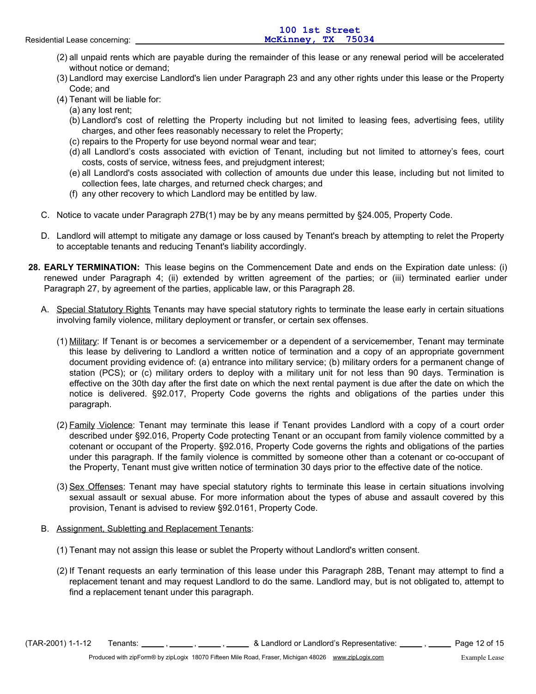- (2) all unpaid rents which are payable during the remainder of this lease or any renewal period will be accelerated without notice or demand;
- (3) Landlord may exercise Landlord's lien under Paragraph 23 and any other rights under this lease or the Property Code; and
- (4) Tenant will be liable for:
- (a) any lost rent;
	- (b) Landlord's cost of reletting the Property including but not limited to leasing fees, advertising fees, utility charges, and other fees reasonably necessary to relet the Property;
	- (c) repairs to the Property for use beyond normal wear and tear;
	- (d) all Landlord's costs associated with eviction of Tenant, including but not limited to attorney's fees, court costs, costs of service, witness fees, and prejudgment interest;
	- (e) all Landlord's costs associated with collection of amounts due under this lease, including but not limited to collection fees, late charges, and returned check charges; and
	- (f) any other recovery to which Landlord may be entitled by law.
- C. Notice to vacate under Paragraph 27B(1) may be by any means permitted by §24.005, Property Code.
- D. Landlord will attempt to mitigate any damage or loss caused by Tenant's breach by attempting to relet the Property to acceptable tenants and reducing Tenant's liability accordingly.
- **28. EARLY TERMINATION:** This lease begins on the Commencement Date and ends on the Expiration date unless: (i) renewed under Paragraph 4; (ii) extended by written agreement of the parties; or (iii) terminated earlier under Paragraph 27, by agreement of the parties, applicable law, or this Paragraph 28.
	- A. Special Statutory Rights Tenants may have special statutory rights to terminate the lease early in certain situations involving family violence, military deployment or transfer, or certain sex offenses.
		- (1) Military: If Tenant is or becomes a servicemember or a dependent of a servicemember, Tenant may terminate this lease by delivering to Landlord a written notice of termination and a copy of an appropriate government document providing evidence of: (a) entrance into military service; (b) military orders for a permanent change of station (PCS); or (c) military orders to deploy with a military unit for not less than 90 days. Termination is effective on the 30th day after the first date on which the next rental payment is due after the date on which the notice is delivered. §92.017, Property Code governs the rights and obligations of the parties under this paragraph.
		- (2) Family Violence: Tenant may terminate this lease if Tenant provides Landlord with a copy of a court order described under §92.016, Property Code protecting Tenant or an occupant from family violence committed by a cotenant or occupant of the Property. §92.016, Property Code governs the rights and obligations of the parties under this paragraph. If the family violence is committed by someone other than a cotenant or co-occupant of the Property, Tenant must give written notice of termination 30 days prior to the effective date of the notice.
		- (3) Sex Offenses: Tenant may have special statutory rights to terminate this lease in certain situations involving sexual assault or sexual abuse. For more information about the types of abuse and assault covered by this provision, Tenant is advised to review §92.0161, Property Code.
	- B. Assignment, Subletting and Replacement Tenants:
		- (1) Tenant may not assign this lease or sublet the Property without Landlord's written consent.
		- (2) If Tenant requests an early termination of this lease under this Paragraph 28B, Tenant may attempt to find a replacement tenant and may request Landlord to do the same. Landlord may, but is not obligated to, attempt to find a replacement tenant under this paragraph.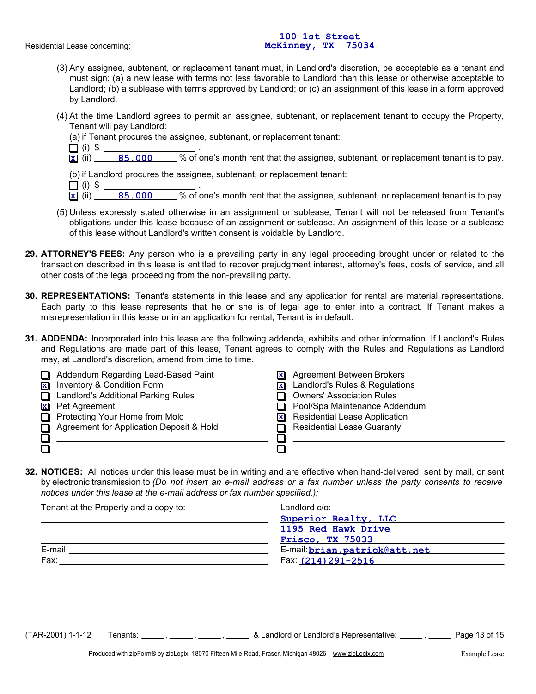- (3) Any assignee, subtenant, or replacement tenant must, in Landlord's discretion, be acceptable as a tenant and must sign: (a) a new lease with terms not less favorable to Landlord than this lease or otherwise acceptable to Landlord; (b) a sublease with terms approved by Landlord; or (c) an assignment of this lease in a form approved by Landlord.
- (4) At the time Landlord agrees to permit an assignee, subtenant, or replacement tenant to occupy the Property, Tenant will pay Landlord:
	- (a) if Tenant procures the assignee, subtenant, or replacement tenant:
	- $\Box$  (i)  $\sqrt[6]{}$
	- $\overline{\mathbf{x}}$  (ii) 85.000 % of one's month rent that the assignee, subtenant, or replacement tenant is to pay.

(b) if Landlord procures the assignee, subtenant, or replacement tenant:

- (i) \$ .  $\overline{\mathbf{x}}$  (ii) 85.000 % of one's month rent that the assignee, subtenant, or replacement tenant is to pay.
- (5) Unless expressly stated otherwise in an assignment or sublease, Tenant will not be released from Tenant's obligations under this lease because of an assignment or sublease. An assignment of this lease or a sublease of this lease without Landlord's written consent is voidable by Landlord.
- **29. ATTORNEY'S FEES:** Any person who is a prevailing party in any legal proceeding brought under or related to the transaction described in this lease is entitled to recover prejudgment interest, attorney's fees, costs of service, and all other costs of the legal proceeding from the non-prevailing party.
- **30. REPRESENTATIONS:** Tenant's statements in this lease and any application for rental are material representations. Each party to this lease represents that he or she is of legal age to enter into a contract. If Tenant makes a misrepresentation in this lease or in an application for rental, Tenant is in default.
- **31. ADDENDA:** Incorporated into this lease are the following addenda, exhibits and other information. If Landlord's Rules and Regulations are made part of this lease, Tenant agrees to comply with the Rules and Regulations as Landlord may, at Landlord's discretion, amend from time to time.

|                         | Addendum Regarding Lead-Based Paint      | $\mathbf{x}$ | Agreement Between Brokers              |
|-------------------------|------------------------------------------|--------------|----------------------------------------|
| $\overline{\mathbf{x}}$ | Inventory & Condition Form               | $\mathbf{x}$ | Landlord's Rules & Regulations         |
| П                       | Landlord's Additional Parking Rules      |              | <b>Owners' Association Rules</b>       |
| $\mathbf{x}$            | Pet Agreement                            |              | Pool/Spa Maintenance Addendum          |
|                         | Protecting Your Home from Mold           |              | <b>x</b> Residential Lease Application |
|                         | Agreement for Application Deposit & Hold |              | <b>Residential Lease Guaranty</b>      |
|                         |                                          |              |                                        |
|                         |                                          |              |                                        |

**32. NOTICES:** All notices under this lease must be in writing and are effective when hand-delivered, sent by mail, or sent by electronic transmission to *(Do not insert an e-mail address or a fax number unless the party consents to receive notices under this lease at the e-mail address or fax number specified.):*

| Tenant at the Property and a copy to: | Landlord c/o:                 |
|---------------------------------------|-------------------------------|
|                                       | Superior Realty, LLC          |
|                                       | 1195 Red Hawk Drive           |
|                                       | <b>Frisco, TX 75033</b>       |
| E-mail:                               | E-mail: brian.patrick@att.net |
| Fax:                                  | Fax: (214) 291-2516           |

(TAR-2001) 1-1-12 Tenants: \_\_\_\_\_\_, , \_\_\_\_\_\_, , \_\_\_\_\_\_ & Landlord or Landlord's Representative: \_\_\_\_\_, \_\_\_\_\_ Page 13 of 15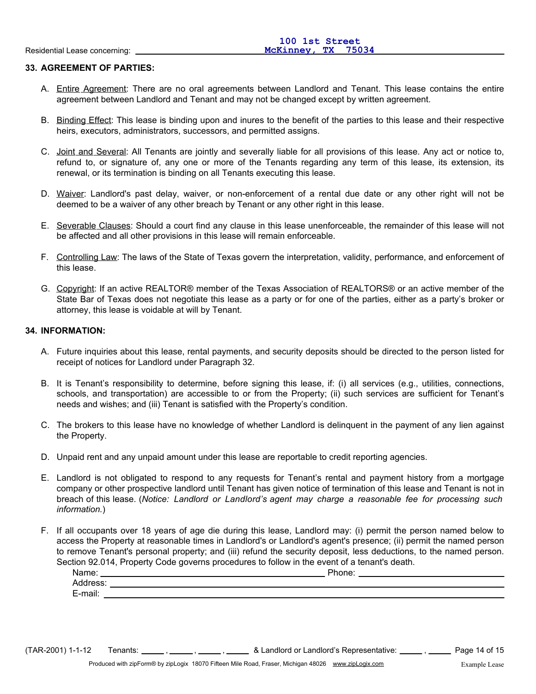## **33. AGREEMENT OF PARTIES:**

- A. Entire Agreement: There are no oral agreements between Landlord and Tenant. This lease contains the entire agreement between Landlord and Tenant and may not be changed except by written agreement.
- B. Binding Effect: This lease is binding upon and inures to the benefit of the parties to this lease and their respective heirs, executors, administrators, successors, and permitted assigns.
- C. Joint and Several: All Tenants are jointly and severally liable for all provisions of this lease. Any act or notice to, refund to, or signature of, any one or more of the Tenants regarding any term of this lease, its extension, its renewal, or its termination is binding on all Tenants executing this lease.
- D. Waiver: Landlord's past delay, waiver, or non-enforcement of a rental due date or any other right will not be deemed to be a waiver of any other breach by Tenant or any other right in this lease.
- E. Severable Clauses: Should a court find any clause in this lease unenforceable, the remainder of this lease will not be affected and all other provisions in this lease will remain enforceable.
- F. Controlling Law: The laws of the State of Texas govern the interpretation, validity, performance, and enforcement of this lease.
- G. Copyright: If an active REALTOR® member of the Texas Association of REALTORS® or an active member of the State Bar of Texas does not negotiate this lease as a party or for one of the parties, either as a party's broker or attorney, this lease is voidable at will by Tenant.

#### **34. INFORMATION:**

- A. Future inquiries about this lease, rental payments, and security deposits should be directed to the person listed for receipt of notices for Landlord under Paragraph 32.
- B. It is Tenant's responsibility to determine, before signing this lease, if: (i) all services (e.g., utilities, connections, schools, and transportation) are accessible to or from the Property; (ii) such services are sufficient for Tenant's needs and wishes; and (iii) Tenant is satisfied with the Property's condition.
- C. The brokers to this lease have no knowledge of whether Landlord is delinquent in the payment of any lien against the Property.
- D. Unpaid rent and any unpaid amount under this lease are reportable to credit reporting agencies.
- E. Landlord is not obligated to respond to any requests for Tenant's rental and payment history from a mortgage company or other prospective landlord until Tenant has given notice of termination of this lease and Tenant is not in breach of this lease. (*Notice: Landlord or Landlord's agent may charge a reasonable fee for processing such information.*)
- F. If all occupants over 18 years of age die during this lease, Landlord may: (i) permit the person named below to access the Property at reasonable times in Landlord's or Landlord's agent's presence; (ii) permit the named person to remove Tenant's personal property; and (iii) refund the security deposit, less deductions, to the named person. Section 92.014, Property Code governs procedures to follow in the event of a tenant's death.

| Name:    | Phone: |
|----------|--------|
| Address: |        |
| E-mail:  |        |
|          |        |